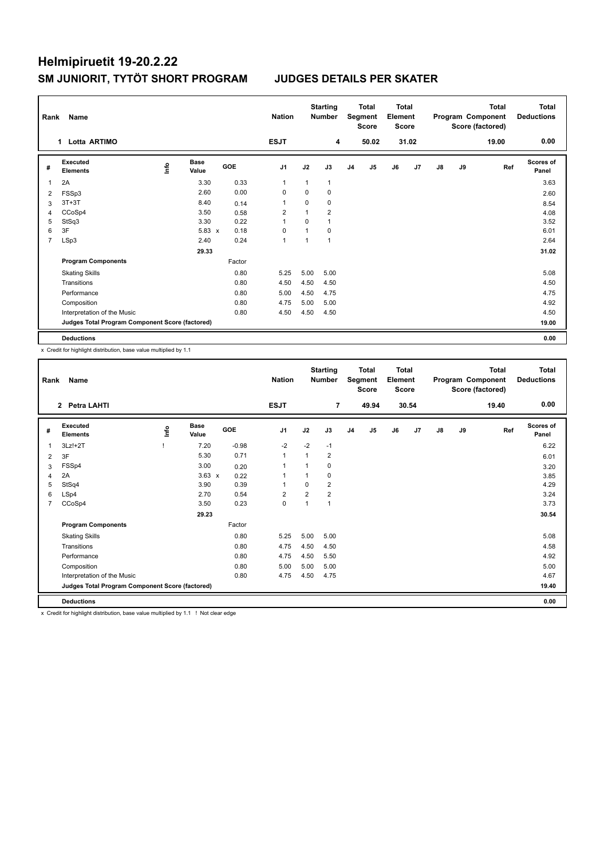| Rank | Name                                            |    |                      |            | <b>Nation</b>  |              | <b>Starting</b><br><b>Number</b> | <b>Total</b><br>Segment<br><b>Score</b> |                | <b>Total</b><br>Element<br><b>Score</b> |       |               |    | Total<br>Program Component<br>Score (factored) | Total<br><b>Deductions</b> |
|------|-------------------------------------------------|----|----------------------|------------|----------------|--------------|----------------------------------|-----------------------------------------|----------------|-----------------------------------------|-------|---------------|----|------------------------------------------------|----------------------------|
|      | Lotta ARTIMO<br>1                               |    |                      |            | <b>ESJT</b>    |              | 4                                |                                         | 50.02          |                                         | 31.02 |               |    | 19.00                                          | 0.00                       |
| #    | <b>Executed</b><br><b>Elements</b>              | ۴ů | <b>Base</b><br>Value | <b>GOE</b> | J <sub>1</sub> | J2           | J3                               | J <sub>4</sub>                          | J <sub>5</sub> | J6                                      | J7    | $\mathsf{J}8$ | J9 | Ref                                            | <b>Scores of</b><br>Panel  |
| 1    | 2A                                              |    | 3.30                 | 0.33       | $\mathbf{1}$   | $\mathbf{1}$ | 1                                |                                         |                |                                         |       |               |    |                                                | 3.63                       |
| 2    | FSSp3                                           |    | 2.60                 | 0.00       | $\Omega$       | $\Omega$     | 0                                |                                         |                |                                         |       |               |    |                                                | 2.60                       |
| 3    | $3T+3T$                                         |    | 8.40                 | 0.14       | 1              | 0            | 0                                |                                         |                |                                         |       |               |    |                                                | 8.54                       |
| 4    | CCoSp4                                          |    | 3.50                 | 0.58       | $\overline{2}$ | 1            | $\overline{2}$                   |                                         |                |                                         |       |               |    |                                                | 4.08                       |
| 5    | StSq3                                           |    | 3.30                 | 0.22       | $\mathbf{1}$   | $\Omega$     | $\mathbf{1}$                     |                                         |                |                                         |       |               |    |                                                | 3.52                       |
| 6    | 3F                                              |    | $5.83 \times$        | 0.18       | $\Omega$       | 1            | $\Omega$                         |                                         |                |                                         |       |               |    |                                                | 6.01                       |
| 7    | LSp3                                            |    | 2.40                 | 0.24       | $\overline{1}$ | 1            | 1                                |                                         |                |                                         |       |               |    |                                                | 2.64                       |
|      |                                                 |    | 29.33                |            |                |              |                                  |                                         |                |                                         |       |               |    |                                                | 31.02                      |
|      | <b>Program Components</b>                       |    |                      | Factor     |                |              |                                  |                                         |                |                                         |       |               |    |                                                |                            |
|      | <b>Skating Skills</b>                           |    |                      | 0.80       | 5.25           | 5.00         | 5.00                             |                                         |                |                                         |       |               |    |                                                | 5.08                       |
|      | Transitions                                     |    |                      | 0.80       | 4.50           | 4.50         | 4.50                             |                                         |                |                                         |       |               |    |                                                | 4.50                       |
|      | Performance                                     |    |                      | 0.80       | 5.00           | 4.50         | 4.75                             |                                         |                |                                         |       |               |    |                                                | 4.75                       |
|      | Composition                                     |    |                      | 0.80       | 4.75           | 5.00         | 5.00                             |                                         |                |                                         |       |               |    |                                                | 4.92                       |
|      | Interpretation of the Music                     |    |                      | 0.80       | 4.50           | 4.50         | 4.50                             |                                         |                |                                         |       |               |    |                                                | 4.50                       |
|      | Judges Total Program Component Score (factored) |    |                      |            |                |              |                                  |                                         |                |                                         |       |               |    |                                                | 19.00                      |
|      | <b>Deductions</b>                               |    |                      |            |                |              |                                  |                                         |                |                                         |       |               |    |                                                | 0.00                       |

x Credit for highlight distribution, base value multiplied by 1.1

|   | Name<br>Rank                                    |      |                      |            | <b>Nation</b>  |                | <b>Starting</b><br><b>Number</b> | Total<br>Segment<br><b>Score</b> |                | <b>Total</b><br>Element<br><b>Score</b> |       | <b>Total</b><br>Program Component<br>Score (factored) |    |       | <b>Total</b><br><b>Deductions</b> |
|---|-------------------------------------------------|------|----------------------|------------|----------------|----------------|----------------------------------|----------------------------------|----------------|-----------------------------------------|-------|-------------------------------------------------------|----|-------|-----------------------------------|
|   | <b>Petra LAHTI</b><br>$\overline{2}$            |      |                      |            | <b>ESJT</b>    |                | $\overline{7}$                   |                                  | 49.94          |                                         | 30.54 |                                                       |    | 19.40 | 0.00                              |
| # | Executed<br><b>Elements</b>                     | lnfo | <b>Base</b><br>Value | <b>GOE</b> | J <sub>1</sub> | J2             | J3                               | J <sub>4</sub>                   | J <sub>5</sub> | J6                                      | J7    | $\mathsf{J}8$                                         | J9 | Ref   | Scores of<br>Panel                |
| 1 | $3Lz!+2T$                                       |      | 7.20                 | $-0.98$    | $-2$           | $-2$           | $-1$                             |                                  |                |                                         |       |                                                       |    |       | 6.22                              |
| 2 | 3F                                              |      | 5.30                 | 0.71       | $\mathbf{1}$   | 1              | $\overline{2}$                   |                                  |                |                                         |       |                                                       |    |       | 6.01                              |
| 3 | FSSp4                                           |      | 3.00                 | 0.20       | 1              |                | 0                                |                                  |                |                                         |       |                                                       |    |       | 3.20                              |
| 4 | 2A                                              |      | $3.63 \times$        | 0.22       | 1              |                | 0                                |                                  |                |                                         |       |                                                       |    |       | 3.85                              |
| 5 | StSq4                                           |      | 3.90                 | 0.39       | 1              | $\Omega$       | $\overline{2}$                   |                                  |                |                                         |       |                                                       |    |       | 4.29                              |
| 6 | LSp4                                            |      | 2.70                 | 0.54       | 2              | $\overline{2}$ | $\overline{2}$                   |                                  |                |                                         |       |                                                       |    |       | 3.24                              |
| 7 | CCoSp4                                          |      | 3.50                 | 0.23       | $\mathbf 0$    | 1              | 1                                |                                  |                |                                         |       |                                                       |    |       | 3.73                              |
|   |                                                 |      | 29.23                |            |                |                |                                  |                                  |                |                                         |       |                                                       |    |       | 30.54                             |
|   | <b>Program Components</b>                       |      |                      | Factor     |                |                |                                  |                                  |                |                                         |       |                                                       |    |       |                                   |
|   | <b>Skating Skills</b>                           |      |                      | 0.80       | 5.25           | 5.00           | 5.00                             |                                  |                |                                         |       |                                                       |    |       | 5.08                              |
|   | Transitions                                     |      |                      | 0.80       | 4.75           | 4.50           | 4.50                             |                                  |                |                                         |       |                                                       |    |       | 4.58                              |
|   | Performance                                     |      |                      | 0.80       | 4.75           | 4.50           | 5.50                             |                                  |                |                                         |       |                                                       |    |       | 4.92                              |
|   | Composition                                     |      |                      | 0.80       | 5.00           | 5.00           | 5.00                             |                                  |                |                                         |       |                                                       |    |       | 5.00                              |
|   | Interpretation of the Music                     |      |                      | 0.80       | 4.75           | 4.50           | 4.75                             |                                  |                |                                         |       |                                                       |    |       | 4.67                              |
|   | Judges Total Program Component Score (factored) |      |                      |            |                |                |                                  |                                  |                |                                         |       |                                                       |    |       | 19.40                             |
|   | <b>Deductions</b>                               |      |                      |            |                |                |                                  |                                  |                |                                         |       |                                                       |    |       | 0.00                              |

x Credit for highlight distribution, base value multiplied by 1.1 ! Not clear edge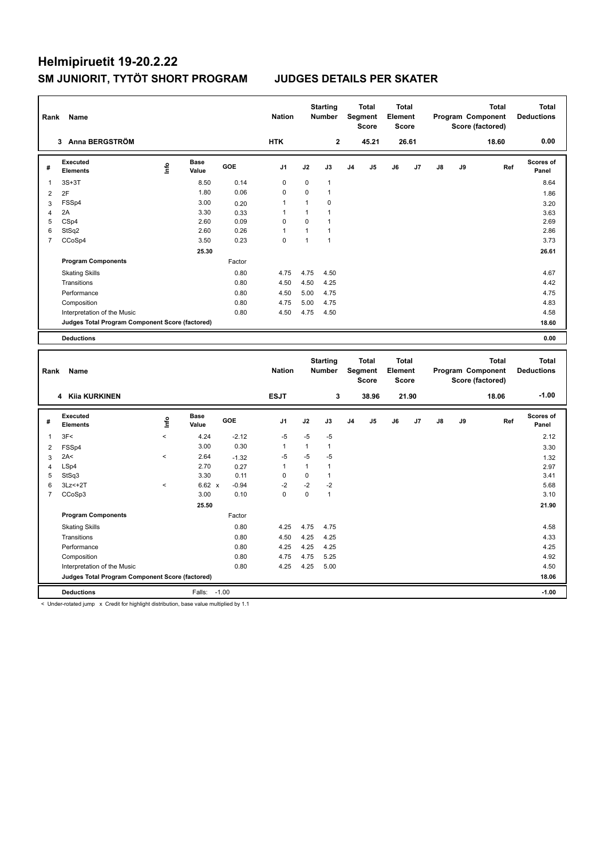| Rank           | Name                                            |   |                      |        | <b>Nation</b>  |              | <b>Starting</b><br><b>Number</b> |                | <b>Total</b><br>Segment<br><b>Score</b> | <b>Total</b><br>Element<br><b>Score</b> |       |               |    | <b>Total</b><br>Program Component<br>Score (factored) | <b>Total</b><br><b>Deductions</b> |
|----------------|-------------------------------------------------|---|----------------------|--------|----------------|--------------|----------------------------------|----------------|-----------------------------------------|-----------------------------------------|-------|---------------|----|-------------------------------------------------------|-----------------------------------|
|                | 3 Anna BERGSTRÖM                                |   |                      |        | <b>HTK</b>     |              | $\mathbf{2}$                     |                | 45.21                                   |                                         | 26.61 |               |    | 18.60                                                 | 0.00                              |
| #              | Executed<br><b>Elements</b>                     | ۴ | <b>Base</b><br>Value | GOE    | J <sub>1</sub> | J2           | J3                               | J <sub>4</sub> | J <sub>5</sub>                          | J6                                      | J7    | $\mathsf{J}8$ | J9 | Ref                                                   | Scores of<br>Panel                |
| -1             | $3S+3T$                                         |   | 8.50                 | 0.14   | 0              | 0            | $\mathbf{1}$                     |                |                                         |                                         |       |               |    |                                                       | 8.64                              |
| 2              | 2F                                              |   | 1.80                 | 0.06   | 0              | $\Omega$     | $\mathbf{1}$                     |                |                                         |                                         |       |               |    |                                                       | 1.86                              |
| 3              | FSSp4                                           |   | 3.00                 | 0.20   | 1              | $\mathbf{1}$ | 0                                |                |                                         |                                         |       |               |    |                                                       | 3.20                              |
| 4              | 2A                                              |   | 3.30                 | 0.33   | 1              | $\mathbf{1}$ | $\mathbf{1}$                     |                |                                         |                                         |       |               |    |                                                       | 3.63                              |
| 5              | CSp4                                            |   | 2.60                 | 0.09   | 0              | $\Omega$     | $\mathbf{1}$                     |                |                                         |                                         |       |               |    |                                                       | 2.69                              |
| 6              | StSq2                                           |   | 2.60                 | 0.26   | 1              | 1            | $\mathbf{1}$                     |                |                                         |                                         |       |               |    |                                                       | 2.86                              |
| $\overline{7}$ | CCoSp4                                          |   | 3.50                 | 0.23   | $\mathbf 0$    | 1            | $\mathbf{1}$                     |                |                                         |                                         |       |               |    |                                                       | 3.73                              |
|                |                                                 |   | 25.30                |        |                |              |                                  |                |                                         |                                         |       |               |    |                                                       | 26.61                             |
|                | <b>Program Components</b>                       |   |                      | Factor |                |              |                                  |                |                                         |                                         |       |               |    |                                                       |                                   |
|                | <b>Skating Skills</b>                           |   |                      | 0.80   | 4.75           | 4.75         | 4.50                             |                |                                         |                                         |       |               |    |                                                       | 4.67                              |
|                | Transitions                                     |   |                      | 0.80   | 4.50           | 4.50         | 4.25                             |                |                                         |                                         |       |               |    |                                                       | 4.42                              |
|                | Performance                                     |   |                      | 0.80   | 4.50           | 5.00         | 4.75                             |                |                                         |                                         |       |               |    |                                                       | 4.75                              |
|                | Composition                                     |   |                      | 0.80   | 4.75           | 5.00         | 4.75                             |                |                                         |                                         |       |               |    |                                                       | 4.83                              |
|                | Interpretation of the Music                     |   |                      | 0.80   | 4.50           | 4.75         | 4.50                             |                |                                         |                                         |       |               |    |                                                       | 4.58                              |
|                | Judges Total Program Component Score (factored) |   |                      |        |                |              |                                  |                |                                         |                                         |       |               |    |                                                       | 18.60                             |
|                | <b>Deductions</b>                               |   |                      |        |                |              |                                  |                |                                         |                                         |       |               |    |                                                       | 0.00                              |
|                |                                                 |   |                      |        |                |              |                                  |                |                                         |                                         |       |               |    |                                                       |                                   |
| Rank           | Name                                            |   |                      |        | <b>Nation</b>  |              | <b>Starting</b><br><b>Number</b> |                | <b>Total</b><br>Segment<br><b>Score</b> | <b>Total</b><br>Element<br><b>Score</b> |       |               |    | <b>Total</b><br>Program Component<br>Score (factored) | <b>Total</b><br><b>Deductions</b> |

|   |                                                 |                          |                      |         |                |      |                | <b>Score</b>   |                |    | <b>Score</b><br>Score (factored) |    |    |       |                           |
|---|-------------------------------------------------|--------------------------|----------------------|---------|----------------|------|----------------|----------------|----------------|----|----------------------------------|----|----|-------|---------------------------|
|   | <b>Kija KURKINEN</b><br>4                       |                          |                      |         | <b>ESJT</b>    |      | 3              |                | 38.96          |    | 21.90                            |    |    | 18.06 | $-1.00$                   |
| # | Executed<br><b>Elements</b>                     | ۴d                       | <b>Base</b><br>Value | GOE     | J <sub>1</sub> | J2   | J3             | J <sub>4</sub> | J <sub>5</sub> | J6 | J7                               | J8 | J9 | Ref   | <b>Scores of</b><br>Panel |
| 1 | 3F<                                             | $\overline{\phantom{a}}$ | 4.24                 | $-2.12$ | $-5$           | $-5$ | $-5$           |                |                |    |                                  |    |    |       | 2.12                      |
| 2 | FSSp4                                           |                          | 3.00                 | 0.30    | 1              | 1    |                |                |                |    |                                  |    |    |       | 3.30                      |
| 3 | 2A<                                             | $\hat{\phantom{a}}$      | 2.64                 | $-1.32$ | $-5$           | $-5$ | $-5$           |                |                |    |                                  |    |    |       | 1.32                      |
| 4 | LSp4                                            |                          | 2.70                 | 0.27    | 1              | 1    |                |                |                |    |                                  |    |    |       | 2.97                      |
| 5 | StSq3                                           |                          | 3.30                 | 0.11    | 0              | 0    |                |                |                |    |                                  |    |    |       | 3.41                      |
| 6 | $3Lz<+2T$                                       | $\hat{}$                 | 6.62 x               | $-0.94$ | $-2$           | $-2$ | $-2$           |                |                |    |                                  |    |    |       | 5.68                      |
| 7 | CCoSp3                                          |                          | 3.00                 | 0.10    | 0              | 0    | $\overline{1}$ |                |                |    |                                  |    |    |       | 3.10                      |
|   |                                                 |                          | 25.50                |         |                |      |                |                |                |    |                                  |    |    |       | 21.90                     |
|   | <b>Program Components</b>                       |                          |                      | Factor  |                |      |                |                |                |    |                                  |    |    |       |                           |
|   | <b>Skating Skills</b>                           |                          |                      | 0.80    | 4.25           | 4.75 | 4.75           |                |                |    |                                  |    |    |       | 4.58                      |
|   | Transitions                                     |                          |                      | 0.80    | 4.50           | 4.25 | 4.25           |                |                |    |                                  |    |    |       | 4.33                      |
|   | Performance                                     |                          |                      | 0.80    | 4.25           | 4.25 | 4.25           |                |                |    |                                  |    |    |       | 4.25                      |
|   | Composition                                     |                          |                      | 0.80    | 4.75           | 4.75 | 5.25           |                |                |    |                                  |    |    |       | 4.92                      |
|   | Interpretation of the Music                     |                          |                      | 0.80    | 4.25           | 4.25 | 5.00           |                |                |    |                                  |    |    |       | 4.50                      |
|   | Judges Total Program Component Score (factored) |                          |                      |         |                |      |                |                |                |    |                                  |    |    |       | 18.06                     |
|   | <b>Deductions</b>                               |                          | Falls:               | $-1.00$ |                |      |                |                |                |    |                                  |    |    |       | $-1.00$                   |

< Under-rotated jump x Credit for highlight distribution, base value multiplied by 1.1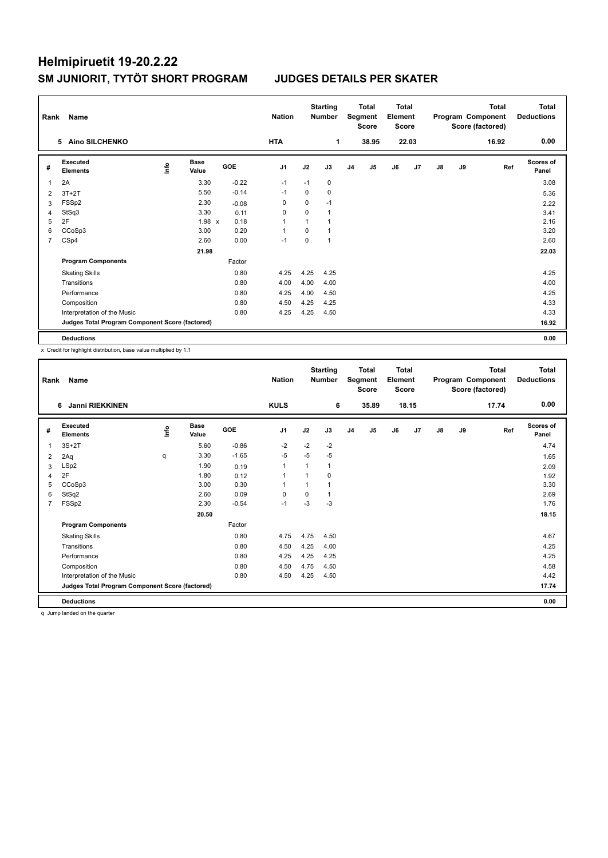| Rank | Name                                            |    |                      |            | <b>Nation</b>  |              | <b>Starting</b><br><b>Number</b> | <b>Total</b><br>Segment<br><b>Score</b> |                | <b>Total</b><br>Element<br><b>Score</b> |       | <b>Total</b><br>Program Component<br>Score (factored) |    |       | Total<br><b>Deductions</b> |
|------|-------------------------------------------------|----|----------------------|------------|----------------|--------------|----------------------------------|-----------------------------------------|----------------|-----------------------------------------|-------|-------------------------------------------------------|----|-------|----------------------------|
|      | 5 Aino SILCHENKO                                |    |                      |            | <b>HTA</b>     |              | 1                                |                                         | 38.95          |                                         | 22.03 |                                                       |    | 16.92 | 0.00                       |
| #    | <b>Executed</b><br><b>Elements</b>              | ۴ů | <b>Base</b><br>Value | <b>GOE</b> | J <sub>1</sub> | J2           | J3                               | J <sub>4</sub>                          | J <sub>5</sub> | J6                                      | J7    | $\mathsf{J}8$                                         | J9 | Ref   | <b>Scores of</b><br>Panel  |
| 1    | 2A                                              |    | 3.30                 | $-0.22$    | $-1$           | $-1$         | 0                                |                                         |                |                                         |       |                                                       |    |       | 3.08                       |
| 2    | $3T+2T$                                         |    | 5.50                 | $-0.14$    | $-1$           | $\Omega$     | 0                                |                                         |                |                                         |       |                                                       |    |       | 5.36                       |
| 3    | FSSp2                                           |    | 2.30                 | $-0.08$    | 0              | 0            | $-1$                             |                                         |                |                                         |       |                                                       |    |       | 2.22                       |
| 4    | StSq3                                           |    | 3.30                 | 0.11       | 0              | $\Omega$     | 1                                |                                         |                |                                         |       |                                                       |    |       | 3.41                       |
| 5    | 2F                                              |    | $1.98 \times$        | 0.18       | $\overline{1}$ | $\mathbf{1}$ |                                  |                                         |                |                                         |       |                                                       |    |       | 2.16                       |
| 6    | CCoSp3                                          |    | 3.00                 | 0.20       | 1              | $\Omega$     |                                  |                                         |                |                                         |       |                                                       |    |       | 3.20                       |
| 7    | CSp4                                            |    | 2.60                 | 0.00       | -1             | $\pmb{0}$    | 1                                |                                         |                |                                         |       |                                                       |    |       | 2.60                       |
|      |                                                 |    | 21.98                |            |                |              |                                  |                                         |                |                                         |       |                                                       |    |       | 22.03                      |
|      | <b>Program Components</b>                       |    |                      | Factor     |                |              |                                  |                                         |                |                                         |       |                                                       |    |       |                            |
|      | <b>Skating Skills</b>                           |    |                      | 0.80       | 4.25           | 4.25         | 4.25                             |                                         |                |                                         |       |                                                       |    |       | 4.25                       |
|      | Transitions                                     |    |                      | 0.80       | 4.00           | 4.00         | 4.00                             |                                         |                |                                         |       |                                                       |    |       | 4.00                       |
|      | Performance                                     |    |                      | 0.80       | 4.25           | 4.00         | 4.50                             |                                         |                |                                         |       |                                                       |    |       | 4.25                       |
|      | Composition                                     |    |                      | 0.80       | 4.50           | 4.25         | 4.25                             |                                         |                |                                         |       |                                                       |    |       | 4.33                       |
|      | Interpretation of the Music                     |    |                      | 0.80       | 4.25           | 4.25         | 4.50                             |                                         |                |                                         |       |                                                       |    |       | 4.33                       |
|      | Judges Total Program Component Score (factored) |    |                      |            |                |              |                                  |                                         |                |                                         |       |                                                       |    |       | 16.92                      |
|      | <b>Deductions</b>                               |    |                      |            |                |              |                                  |                                         |                |                                         |       |                                                       |    |       | 0.00                       |

x Credit for highlight distribution, base value multiplied by 1.1

|                | Name<br>Rank                                    |      |                      |         |                |          | <b>Starting</b><br><b>Number</b> | <b>Total</b><br>Segment<br><b>Score</b> |       | <b>Total</b><br>Element<br><b>Score</b> |       |               |    | <b>Total</b><br>Program Component<br>Score (factored) | <b>Total</b><br><b>Deductions</b> |
|----------------|-------------------------------------------------|------|----------------------|---------|----------------|----------|----------------------------------|-----------------------------------------|-------|-----------------------------------------|-------|---------------|----|-------------------------------------------------------|-----------------------------------|
|                | Janni RIEKKINEN<br>6                            |      |                      |         | <b>KULS</b>    |          | 6                                |                                         | 35.89 |                                         | 18.15 |               |    | 17.74                                                 | 0.00                              |
| #              | Executed<br><b>Elements</b>                     | ١nf٥ | <b>Base</b><br>Value | GOE     | J <sub>1</sub> | J2       | J3                               | J <sub>4</sub>                          | J5    | J6                                      | J7    | $\mathsf{J}8$ | J9 | Ref                                                   | <b>Scores of</b><br>Panel         |
| 1              | $3S+2T$                                         |      | 5.60                 | $-0.86$ | $-2$           | $-2$     | $-2$                             |                                         |       |                                         |       |               |    |                                                       | 4.74                              |
| 2              | 2Aq                                             | q    | 3.30                 | $-1.65$ | $-5$           | $-5$     | $-5$                             |                                         |       |                                         |       |               |    |                                                       | 1.65                              |
| 3              | LSp2                                            |      | 1.90                 | 0.19    | $\mathbf{1}$   |          | $\mathbf{1}$                     |                                         |       |                                         |       |               |    |                                                       | 2.09                              |
| $\overline{4}$ | 2F                                              |      | 1.80                 | 0.12    | 1              |          | 0                                |                                         |       |                                         |       |               |    |                                                       | 1.92                              |
| 5              | CCoSp3                                          |      | 3.00                 | 0.30    | $\mathbf{1}$   |          | 1                                |                                         |       |                                         |       |               |    |                                                       | 3.30                              |
| 6              | StSq2                                           |      | 2.60                 | 0.09    | 0              | $\Omega$ | 1                                |                                         |       |                                         |       |               |    |                                                       | 2.69                              |
| $\overline{7}$ | FSSp2                                           |      | 2.30                 | $-0.54$ | $-1$           | $-3$     | $-3$                             |                                         |       |                                         |       |               |    |                                                       | 1.76                              |
|                |                                                 |      | 20.50                |         |                |          |                                  |                                         |       |                                         |       |               |    |                                                       | 18.15                             |
|                | <b>Program Components</b>                       |      |                      | Factor  |                |          |                                  |                                         |       |                                         |       |               |    |                                                       |                                   |
|                | <b>Skating Skills</b>                           |      |                      | 0.80    | 4.75           | 4.75     | 4.50                             |                                         |       |                                         |       |               |    |                                                       | 4.67                              |
|                | Transitions                                     |      |                      | 0.80    | 4.50           | 4.25     | 4.00                             |                                         |       |                                         |       |               |    |                                                       | 4.25                              |
|                | Performance                                     |      |                      | 0.80    | 4.25           | 4.25     | 4.25                             |                                         |       |                                         |       |               |    |                                                       | 4.25                              |
|                | Composition                                     |      |                      | 0.80    | 4.50           | 4.75     | 4.50                             |                                         |       |                                         |       |               |    |                                                       | 4.58                              |
|                | Interpretation of the Music                     |      |                      | 0.80    | 4.50           | 4.25     | 4.50                             |                                         |       |                                         |       |               |    |                                                       | 4.42                              |
|                | Judges Total Program Component Score (factored) |      |                      |         |                |          |                                  |                                         |       |                                         |       |               |    |                                                       | 17.74                             |
|                | <b>Deductions</b>                               |      |                      |         |                |          |                                  |                                         |       |                                         |       |               |    |                                                       | 0.00                              |

q Jump landed on the quarter